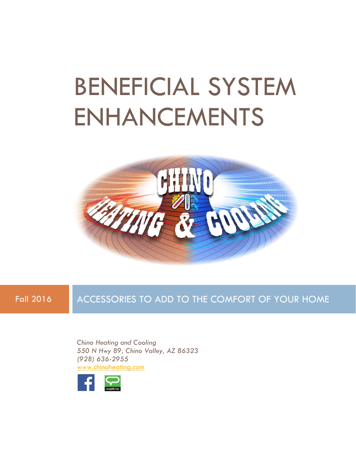# BENEFICIAL SYSTEM ENHANCEMENTS



Fall 2016 ACCESSORIES TO ADD TO THE COMFORT OF YOUR HOME

*Chino Heating and Cooling 550 N Hwy 89, Chino Valley, AZ 86323 (928) 636-2955* [www.chinoheating.com](http://www.chinoheating.com/)

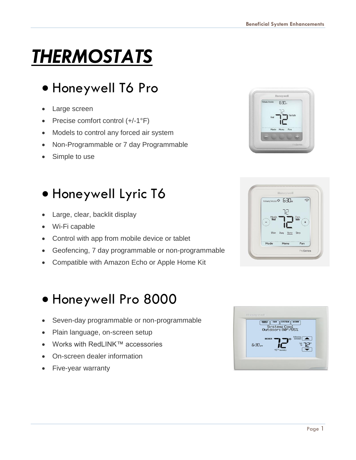## *THERMOSTATS*

## • Honeywell T6 Pro

- Large screen
- Precise comfort control (+/-1°F)
- Models to control any forced air system
- Non-Programmable or 7 day Programmable
- Simple to use

### • Honeywell Lyric T6

- Large, clear, backlit display
- Wi-Fi capable
- Control with app from mobile device or tablet
- Geofencing, 7 day programmable or non-programmable
- Compatible with Amazon Echo or Apple Home Kit

#### • Honeywell Pro 8000

- Seven-day programmable or non-programmable
- Plain language, on-screen setup
- Works with RedLINK™ accessories
- On-screen dealer information
- Five-year warranty





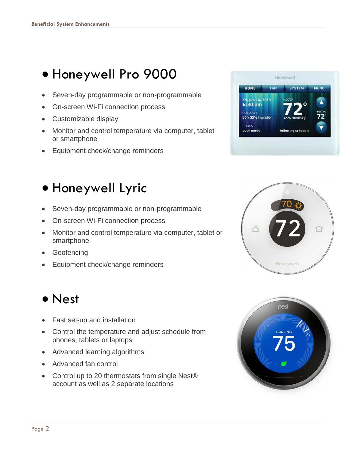### • Honeywell Pro 9000

- Seven-day programmable or non-programmable
- On-screen Wi-Fi connection process
- Customizable display
- Monitor and control temperature via computer, tablet or smartphone
- Equipment check/change reminders

### • Honeywell Lyric

- Seven-day programmable or non-programmable
- On-screen Wi-Fi connection process
- Monitor and control temperature via computer, tablet or smartphone
- **Geofencing**
- Equipment check/change reminders

#### • Nest

- Fast set-up and installation
- Control the temperature and adjust schedule from phones, tablets or laptops
- Advanced learning algorithms
- Advanced fan control
- Control up to 20 thermostats from single Nest® account as well as 2 separate locations





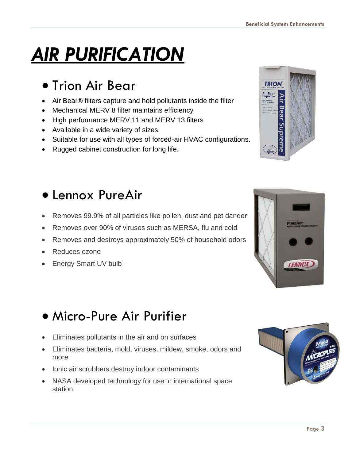## *AIR PURIFICATION*

#### • Trion Air Bear

- Air Bear® filters capture and hold pollutants inside the filter
- Mechanical MERV 8 filter maintains efficiency
- High performance MERV 11 and MERV 13 filters
- Available in a wide variety of sizes.
- Suitable for use with all types of forced-air HVAC configurations.
- Rugged cabinet construction for long life.

#### • Lennox PureAir

- Removes 99.9% of all particles like pollen, dust and pet dander
- Removes over 90% of viruses such as MERSA, flu and cold
- Removes and destroys approximately 50% of household odors
- Reduces ozone
- Energy Smart UV bulb

### • Micro-Pure Air Purifier

- Eliminates pollutants in the air and on surfaces
- Eliminates bacteria, mold, viruses, mildew, smoke, odors and more
- Ionic air scrubbers destroy indoor contaminants
- NASA developed technology for use in international space station





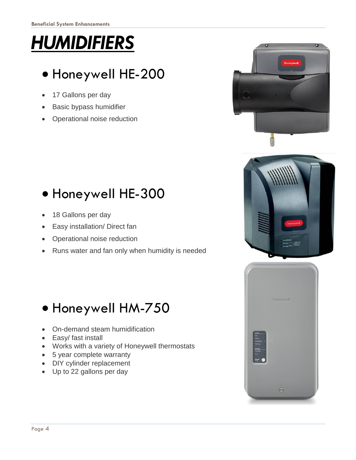## *HUMIDIFIERS*

### • Honeywell HE-200

- 17 Gallons per day
- **Basic bypass humidifier**
- Operational noise reduction



- 18 Gallons per day
- Easy installation/ Direct fan
- Operational noise reduction
- Runs water and fan only when humidity is needed

### • Honeywell HM-750

- On-demand steam humidification
- Easy/ fast install
- Works with a variety of Honeywell thermostats
- 5 year complete warranty
- DIY cylinder replacement
- Up to 22 gallons per day





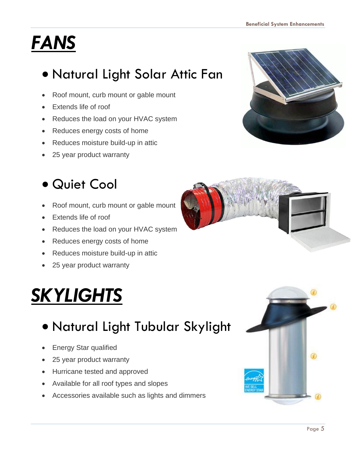## *FANS*

## • Natural Light Solar Attic Fan

- Roof mount, curb mount or gable mount
- Extends life of roof
- Reduces the load on your HVAC system
- Reduces energy costs of home
- Reduces moisture build-up in attic
- 25 year product warranty

### • Quiet Cool

- Roof mount, curb mount or gable mount
- Extends life of roof
- Reduces the load on your HVAC system
- Reduces energy costs of home
- Reduces moisture build-up in attic
- 25 year product warranty

## *SKYLIGHTS*

### • Natural Light Tubular Skylight

- Energy Star qualified
- 25 year product warranty
- Hurricane tested and approved
- Available for all roof types and slopes
- Accessories available such as lights and dimmers





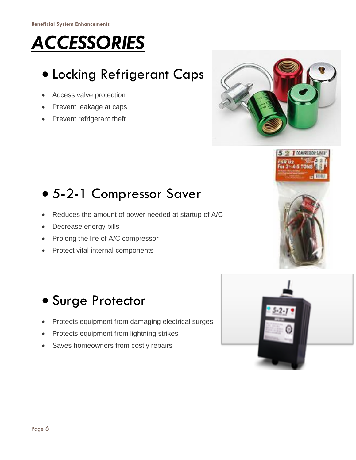## *ACCESSORIES*

## • Locking Refrigerant Caps

- Access valve protection
- Prevent leakage at caps
- Prevent refrigerant theft



## • 5-2-1 Compressor Saver

- Reduces the amount of power needed at startup of A/C
- Decrease energy bills
- Prolong the life of A/C compressor
- Protect vital internal components



#### • Surge Protector

- Protects equipment from damaging electrical surges
- Protects equipment from lightning strikes
- Saves homeowners from costly repairs

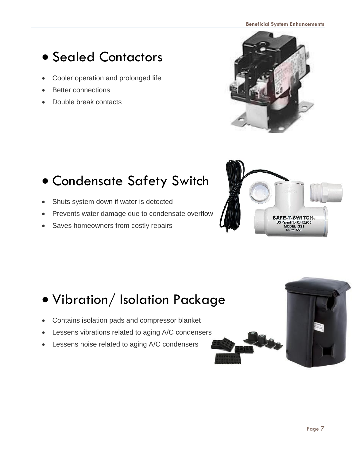### • Sealed Contactors

- Cooler operation and prolonged life
- **Better connections**
- Double break contacts

## • Condensate Safety Switch

- Shuts system down if water is detected
- Prevents water damage due to condensate overflow
- Saves homeowners from costly repairs





## • Vibration/ Isolation Package

- Contains isolation pads and compressor blanket
- Lessens vibrations related to aging A/C condensers
- Lessens noise related to aging A/C condensers